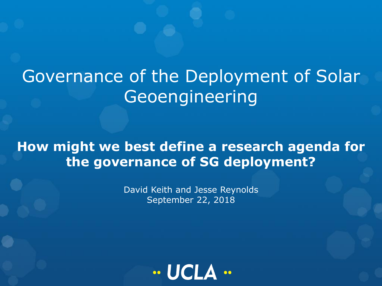# Governance of the Deployment of Solar **Geoengineering**

**How might we best define a research agenda for the governance of SG deployment?**

> David Keith and Jesse Reynolds September 22, 2018

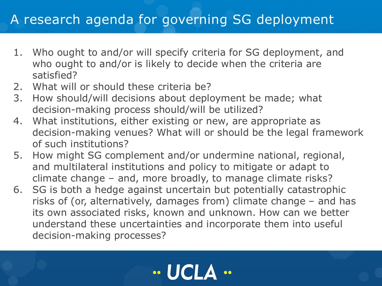#### A research agenda for governing SG deployment

- 1. Who ought to and/or will specify criteria for SG deployment, and who ought to and/or is likely to decide when the criteria are satisfied?
- 2. What will or should these criteria be?
- 3. How should/will decisions about deployment be made; what decision-making process should/will be utilized?
- 4. What institutions, either existing or new, are appropriate as decision-making venues? What will or should be the legal framework of such institutions?
- 5. How might SG complement and/or undermine national, regional, and multilateral institutions and policy to mitigate or adapt to climate change – and, more broadly, to manage climate risks?
- 6. SG is both a hedge against uncertain but potentially catastrophic risks of (or, alternatively, damages from) climate change – and has its own associated risks, known and unknown. How can we better understand these uncertainties and incorporate them into useful decision-making processes?

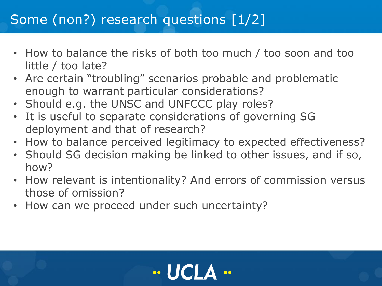## Some (non?) research questions [1/2]

- How to balance the risks of both too much / too soon and too little / too late?
- Are certain "troubling" scenarios probable and problematic enough to warrant particular considerations?
- Should e.g. the UNSC and UNFCCC play roles?
- It is useful to separate considerations of governing SG deployment and that of research?
- How to balance perceived legitimacy to expected effectiveness?
- Should SG decision making be linked to other issues, and if so, how?
- How relevant is intentionality? And errors of commission versus those of omission?
- How can we proceed under such uncertainty?

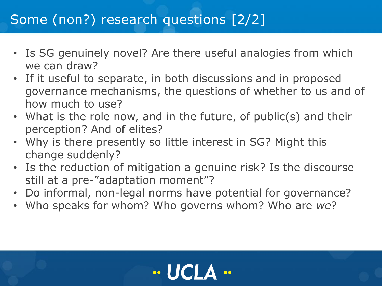## Some (non?) research questions [2/2]

- Is SG genuinely novel? Are there useful analogies from which we can draw?
- If it useful to separate, in both discussions and in proposed governance mechanisms, the questions of whether to us and of how much to use?
- What is the role now, and in the future, of public(s) and their perception? And of elites?
- Why is there presently so little interest in SG? Might this change suddenly?
- Is the reduction of mitigation a genuine risk? Is the discourse still at a pre-"adaptation moment"?
- Do informal, non-legal norms have potential for governance?
- Who speaks for whom? Who governs whom? Who are *we*?